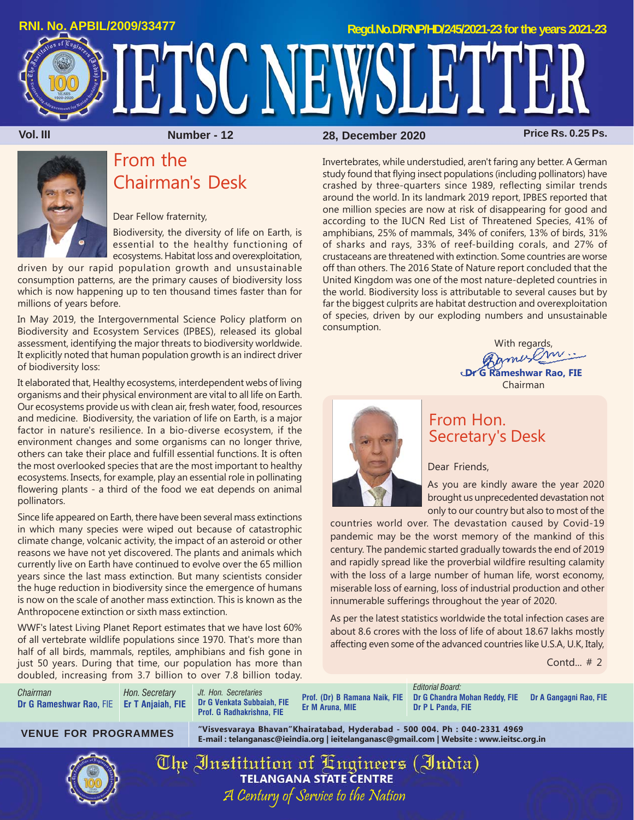

**Vol. III Number - 12 Price Rs. 0.25 Ps. 28, December 2020**



# From the Chairman's Desk

Dear Fellow fraternity,

Biodiversity, the diversity of life on Earth, is essential to the healthy functioning of ecosystems. Habitat loss and overexploitation,

driven by our rapid population growth and unsustainable consumption patterns, are the primary causes of biodiversity loss which is now happening up to ten thousand times faster than for millions of years before.

In May 2019, the Intergovernmental Science Policy platform on Biodiversity and Ecosystem Services (IPBES), released its global assessment, identifying the major threats to biodiversity worldwide. It explicitly noted that human population growth is an indirect driver of biodiversity loss:

It elaborated that, Healthy ecosystems, interdependent webs of living organisms and their physical environment are vital to all life on Earth. Our ecosystems provide us with clean air, fresh water, food, resources and medicine. Biodiversity, the variation of life on Earth, is a major factor in nature's resilience. In a bio-diverse ecosystem, if the environment changes and some organisms can no longer thrive, others can take their place and fulfill essential functions. It is often the most overlooked species that are the most important to healthy ecosystems. Insects, for example, play an essential role in pollinating flowering plants - a third of the food we eat depends on animal pollinators.

Since life appeared on Earth, there have been several mass extinctions in which many species were wiped out because of catastrophic climate change, volcanic activity, the impact of an asteroid or other reasons we have not yet discovered. The plants and animals which currently live on Earth have continued to evolve over the 65 million years since the last mass extinction. But many scientists consider the huge reduction in biodiversity since the emergence of humans is now on the scale of another mass extinction. This is known as the Anthropocene extinction or sixth mass extinction.

WWF's latest Living Planet Report estimates that we have lost 60% of all vertebrate wildlife populations since 1970. That's more than half of all birds, mammals, reptiles, amphibians and fish gone in just 50 years. During that time, our population has more than doubled, increasing from 3.7 billion to over 7.8 billion today.

*Chairman* **Dr G Rameshwar Rao,** FIE **Er T Anjaiah, FIE** *Hon. Secretary*

*Jt. Hon. Secretaries* **Dr G Venkata Subbaiah, FIE Prof. G Radhakrishna, FIE**

**Prof. (Dr) B Ramana Naik, FIE Er M Aruna, MIE**

*Editorial Board:* **Dr G Chandra Mohan Reddy, FIE Dr A Gangagni Rao, FIE Dr P L Panda, FIE**

**"Visvesvaraya Bhavan"Khairatabad, Hyderabad - 500 004. Ph : 040-2331 4969 E-mail : telanganasc@ieindia.org | ieitelanganasc@gmail.com | Website : www.ieitsc.org.in VENUE FOR PROGRAMMES**

> The Institution of Engineers (India) A Century of Service to the Nation

# From Hon. Secretary's Desk

Invertebrates, while understudied, aren't faring any better. A German study found that flying insect populations (including pollinators) have crashed by three-quarters since 1989, reflecting similar trends around the world. In its landmark 2019 report, IPBES reported that one million species are now at risk of disappearing for good and according to the IUCN Red List of Threatened Species, 41% of amphibians, 25% of mammals, 34% of conifers, 13% of birds, 31% of sharks and rays, 33% of reef-building corals, and 27% of crustaceans are threatened with extinction. Some countries are worse off than others. The 2016 State of Nature report concluded that the United Kingdom was one of the most nature-depleted countries in the world. Biodiversity loss is attributable to several causes but by far the biggest culprits are habitat destruction and overexploitation of species, driven by our exploding numbers and unsustainable

Dear Friends,

As you are kindly aware the year 2020 brought us unprecedented devastation not only to our country but also to most of the

countries world over. The devastation caused by Covid-19 pandemic may be the worst memory of the mankind of this century. The pandemic started gradually towards the end of 2019 and rapidly spread like the proverbial wildfire resulting calamity with the loss of a large number of human life, worst economy, miserable loss of earning, loss of industrial production and other innumerable sufferings throughout the year of 2020.

As per the latest statistics worldwide the total infection cases are about 8.6 crores with the loss of life of about 18.67 lakhs mostly affecting even some of the advanced countries like U.S.A, U.K, Italy,

Contd... # 2

With regards,<br>american ... **Dr G Rameshwar Rao, FIE** Chairman



consumption.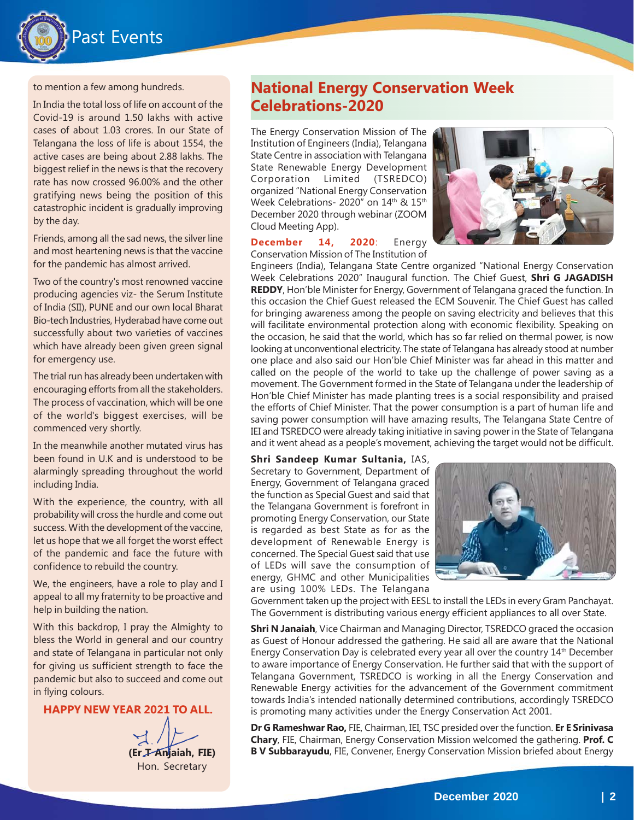

to mention a few among hundreds.

In India the total loss of life on account of the Covid-19 is around 1.50 lakhs with active cases of about 1.03 crores. In our State of Telangana the loss of life is about 1554, the active cases are being about 2.88 lakhs. The biggest relief in the news is that the recovery rate has now crossed 96.00% and the other gratifying news being the position of this catastrophic incident is gradually improving by the day.

Friends, among all the sad news, the silver line and most heartening news is that the vaccine for the pandemic has almost arrived.

Two of the country's most renowned vaccine producing agencies viz- the Serum Institute of India (SII), PUNE and our own local Bharat Bio-tech Industries, Hyderabad have come out successfully about two varieties of vaccines which have already been given green signal for emergency use.

The trial run has already been undertaken with encouraging efforts from all the stakeholders. The process of vaccination, which will be one of the world's biggest exercises, will be commenced very shortly.

In the meanwhile another mutated virus has been found in U.K and is understood to be alarmingly spreading throughout the world including India.

With the experience, the country, with all probability will cross the hurdle and come out success. With the development of the vaccine, let us hope that we all forget the worst effect of the pandemic and face the future with confidence to rebuild the country.

We, the engineers, have a role to play and I appeal to all my fraternity to be proactive and help in building the nation.

With this backdrop, I pray the Almighty to bless the World in general and our country and state of Telangana in particular not only for giving us sufficient strength to face the pandemic but also to succeed and come out in flying colours.

**HAPPY NEW YEAR 2021 TO ALL.**

**(Er T Anjaiah, FIE)** Hon. Secretary



### **National Energy Conservation Week Celebrations-2020**

The Energy Conservation Mission of The Institution of Engineers (India), Telangana State Centre in association with Telangana State Renewable Energy Development Corporation Limited (TSREDCO) organized "National Energy Conservation Week Celebrations- 2020" on 14<sup>th</sup> & 15<sup>th</sup> December 2020 through webinar (ZOOM Cloud Meeting App).



#### **December 14, 2020**: Energy Conservation Mission of The Institution of

Engineers (India), Telangana State Centre organized "National Energy Conservation Week Celebrations 2020" Inaugural function. The Chief Guest, **Shri G JAGADISH REDDY**, Hon'ble Minister for Energy, Government of Telangana graced the function. In this occasion the Chief Guest released the ECM Souvenir. The Chief Guest has called for bringing awareness among the people on saving electricity and believes that this will facilitate environmental protection along with economic flexibility. Speaking on the occasion, he said that the world, which has so far relied on thermal power, is now looking at unconventional electricity. The state of Telangana has already stood at number one place and also said our Hon'ble Chief Minister was far ahead in this matter and called on the people of the world to take up the challenge of power saving as a movement. The Government formed in the State of Telangana under the leadership of Hon'ble Chief Minister has made planting trees is a social responsibility and praised the efforts of Chief Minister. That the power consumption is a part of human life and saving power consumption will have amazing results, The Telangana State Centre of IEI and TSREDCO were already taking initiative in saving power in the State of Telangana and it went ahead as a people's movement, achieving the target would not be difficult.

### **Shri Sandeep Kumar Sultania,** IAS,

Secretary to Government, Department of Energy, Government of Telangana graced the function as Special Guest and said that the Telangana Government is forefront in promoting Energy Conservation, our State is regarded as best State as for as the development of Renewable Energy is concerned. The Special Guest said that use of LEDs will save the consumption of energy, GHMC and other Municipalities are using 100% LEDs. The Telangana



Government taken up the project with EESL to install the LEDs in every Gram Panchayat. The Government is distributing various energy efficient appliances to all over State.

**Shri N Janaiah**, Vice Chairman and Managing Director, TSREDCO graced the occasion as Guest of Honour addressed the gathering. He said all are aware that the National Energy Conservation Day is celebrated every year all over the country  $14<sup>th</sup>$  December to aware importance of Energy Conservation. He further said that with the support of Telangana Government, TSREDCO is working in all the Energy Conservation and Renewable Energy activities for the advancement of the Government commitment towards India's intended nationally determined contributions, accordingly TSREDCO is promoting many activities under the Energy Conservation Act 2001.

**Dr G Rameshwar Rao,** FIE, Chairman, IEI, TSC presided over the function. **Er E Srinivasa Chary**, FIE, Chairman, Energy Conservation Mission welcomed the gathering. **Prof. C B V Subbarayudu**, FIE, Convener, Energy Conservation Mission briefed about Energy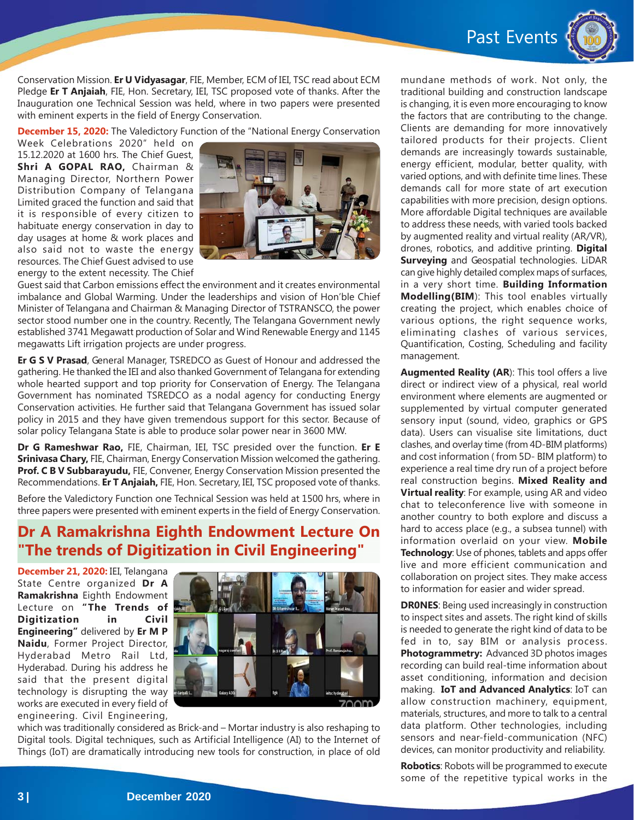Past Events



Conservation Mission. **Er U Vidyasagar**, FIE, Member, ECM of IEI, TSC read about ECM Pledge **Er T Anjaiah**, FIE, Hon. Secretary, IEI, TSC proposed vote of thanks. After the Inauguration one Technical Session was held, where in two papers were presented with eminent experts in the field of Energy Conservation.

**December 15, 2020:** The Valedictory Function of the "National Energy Conservation

Week Celebrations 2020" held on 15.12.2020 at 1600 hrs. The Chief Guest, **Shri A GOPAL RAO,** Chairman & Managing Director, Northern Power Distribution Company of Telangana Limited graced the function and said that it is responsible of every citizen to habituate energy conservation in day to day usages at home & work places and also said not to waste the energy resources. The Chief Guest advised to use energy to the extent necessity. The Chief



Guest said that Carbon emissions effect the environment and it creates environmental imbalance and Global Warming. Under the leaderships and vision of Hon'ble Chief Minister of Telangana and Chairman & Managing Director of TSTRANSCO, the power sector stood number one in the country. Recently, The Telangana Government newly established 3741 Megawatt production of Solar and Wind Renewable Energy and 1145 megawatts Lift irrigation projects are under progress.

**Er G S V Prasad**, General Manager, TSREDCO as Guest of Honour and addressed the gathering. He thanked the IEI and also thanked Government of Telangana for extending whole hearted support and top priority for Conservation of Energy. The Telangana Government has nominated TSREDCO as a nodal agency for conducting Energy Conservation activities. He further said that Telangana Government has issued solar policy in 2015 and they have given tremendous support for this sector. Because of solar policy Telangana State is able to produce solar power near in 3600 MW.

**Dr G Rameshwar Rao,** FIE, Chairman, IEI, TSC presided over the function. **Er E Srinivasa Chary,** FIE, Chairman, Energy Conservation Mission welcomed the gathering. **Prof. C B V Subbarayudu,** FIE, Convener, Energy Conservation Mission presented the Recommendations. **Er T Anjaiah,** FIE, Hon. Secretary, IEI, TSC proposed vote of thanks.

Before the Valedictory Function one Technical Session was held at 1500 hrs, where in three papers were presented with eminent experts in the field of Energy Conservation.

# **Dr A Ramakrishna Eighth Endowment Lecture On "The trends of Digitization in Civil Engineering"**

**December 21, 2020:** IEI, Telangana State Centre organized **Dr A Ramakrishna** Eighth Endowment Lecture on **"The Trends of Digitization in Civil Engineering"** delivered by **Er M P Naidu**, Former Project Director, Hyderabad Metro Rail Ltd, Hyderabad. During his address he said that the present digital technology is disrupting the way works are executed in every field of engineering. Civil Engineering,



which was traditionally considered as Brick-and – Mortar industry is also reshaping to Digital tools. Digital techniques, such as Artificial Intelligence (AI) to the Internet of Things (IoT) are dramatically introducing new tools for construction, in place of old

mundane methods of work. Not only, the traditional building and construction landscape is changing, it is even more encouraging to know the factors that are contributing to the change. Clients are demanding for more innovatively tailored products for their projects. Client demands are increasingly towards sustainable, energy efficient, modular, better quality, with varied options, and with definite time lines. These demands call for more state of art execution capabilities with more precision, design options. More affordable Digital techniques are available to address these needs, with varied tools backed by augmented reality and virtual reality (AR/VR), drones, robotics, and additive printing. **Digital Surveying** and Geospatial technologies. LiDAR can give highly detailed complex maps of surfaces, in a very short time. **Building Information Modelling(BIM**): This tool enables virtually creating the project, which enables choice of various options, the right sequence works, eliminating clashes of various services, Quantification, Costing, Scheduling and facility management.

**Augmented Reality (AR**): This tool offers a live direct or indirect view of a physical, real world environment where elements are augmented or supplemented by virtual computer generated sensory input (sound, video, graphics or GPS data). Users can visualise site limitations, duct clashes, and overlay time (from 4D-BIM platforms) and cost information ( from 5D- BIM platform) to experience a real time dry run of a project before real construction begins. **Mixed Reality and Virtual reality**: For example, using AR and video chat to teleconference live with someone in another country to both explore and discuss a hard to access place (e.g., a subsea tunnel) with information overlaid on your view. **Mobile Technology**: Use of phones, tablets and apps offer live and more efficient communication and collaboration on project sites. They make access to information for easier and wider spread.

**DR0NES**: Being used increasingly in construction to inspect sites and assets. The right kind of skills is needed to generate the right kind of data to be fed in to, say BIM or analysis process. **Photogrammetry:** Advanced 3D photos images recording can build real-time information about asset conditioning, information and decision making. **IoT and Advanced Analytics**: IoT can allow construction machinery, equipment, materials, structures, and more to talk to a central data platform. Other technologies, including sensors and near-field-communication (NFC) devices, can monitor productivity and reliability.

**Robotics**: Robots will be programmed to execute some of the repetitive typical works in the